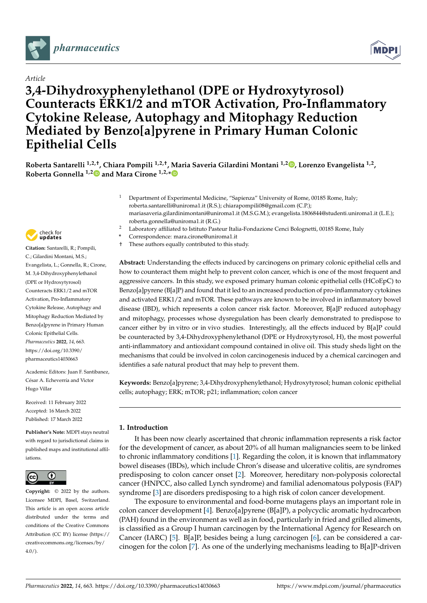

# *Article*

# **3,4-Dihydroxyphenylethanol (DPE or Hydroxytyrosol) Counteracts ERK1/2 and mTOR Activation, Pro-Inflammatory Cytokine Release, Autophagy and Mitophagy Reduction Mediated by Benzo[a]pyrene in Primary Human Colonic Epithelial Cells**

**Roberta Santarelli 1,2,†, Chiara Pompili 1,2,†, Maria Saveria Gilardini Montani 1,2 [,](https://orcid.org/0000-0001-8722-7539) Lorenzo Evangelista 1,2 , Roberta Gonnella 1,[2](https://orcid.org/0000-0003-4894-4986) and Mara Cirone 1,2,[\\*](https://orcid.org/0000-0002-2207-9624)**

- <sup>1</sup> Department of Experimental Medicine, "Sapienza" University of Rome, 00185 Rome, Italy; roberta.santarelli@uniroma1.it (R.S.); chiarapompili08@gmail.com (C.P.); mariasaveria.gilardinimontani@uniroma1.it (M.S.G.M.); evangelista.1806844@studenti.uniroma1.it (L.E.); roberta.gonnella@uniroma1.it (R.G.)
- <sup>2</sup> Laboratory affiliated to Istituto Pasteur Italia-Fondazione Cenci Bolognetti, 00185 Rome, Italy
- **\*** Correspondence: mara.cirone@uniroma1.it
- † These authors equally contributed to this study.

**Abstract:** Understanding the effects induced by carcinogens on primary colonic epithelial cells and how to counteract them might help to prevent colon cancer, which is one of the most frequent and aggressive cancers. In this study, we exposed primary human colonic epithelial cells (HCoEpC) to Benzo[a]pyrene (B[a]P) and found that it led to an increased production of pro-inflammatory cytokines and activated ERK1/2 and mTOR. These pathways are known to be involved in inflammatory bowel disease (IBD), which represents a colon cancer risk factor. Moreover, B[a]P reduced autophagy and mitophagy, processes whose dysregulation has been clearly demonstrated to predispose to cancer either by in vitro or in vivo studies. Interestingly, all the effects induced by B[a]P could be counteracted by 3,4-Dihydroxyphenylethanol (DPE or Hydroxytyrosol, H), the most powerful anti-inflammatory and antioxidant compound contained in olive oil. This study sheds light on the mechanisms that could be involved in colon carcinogenesis induced by a chemical carcinogen and identifies a safe natural product that may help to prevent them.

**Keywords:** Benzo[a]pyrene; 3,4-Dihydroxyphenylethanol; Hydroxytyrosol; human colonic epithelial cells; autophagy; ERK; mTOR; p21; inflammation; colon cancer

## **1. Introduction**

It has been now clearly ascertained that chronic inflammation represents a risk factor for the development of cancer, as about 20% of all human malignancies seem to be linked to chronic inflammatory conditions [\[1\]](#page-10-0). Regarding the colon, it is known that inflammatory bowel diseases (IBDs), which include Chron's disease and ulcerative colitis, are syndromes predisposing to colon cancer onset [\[2\]](#page-10-1). Moreover, hereditary non-polyposis colorectal cancer (HNPCC, also called Lynch syndrome) and familial adenomatous polyposis (FAP) syndrome [\[3\]](#page-10-2) are disorders predisposing to a high risk of colon cancer development.

The exposure to environmental and food-borne mutagens plays an important role in colon cancer development [\[4\]](#page-10-3). Benzo[a]pyrene (B[a]P), a polycyclic aromatic hydrocarbon (PAH) found in the environment as well as in food, particularly in fried and grilled aliments, is classified as a Group I human carcinogen by the International Agency for Research on Cancer (IARC) [\[5\]](#page-10-4). B[a]P, besides being a lung carcinogen [\[6\]](#page-10-5), can be considered a carcinogen for the colon [\[7\]](#page-10-6). As one of the underlying mechanisms leading to B[a]P-driven



**Citation:** Santarelli, R.; Pompili, C.; Gilardini Montani, M.S.; Evangelista, L.; Gonnella, R.; Cirone, M. 3,4-Dihydroxyphenylethanol (DPE or Hydroxytyrosol) Counteracts ERK1/2 and mTOR Activation, Pro-Inflammatory Cytokine Release, Autophagy and Mitophagy Reduction Mediated by Benzo[a]pyrene in Primary Human Colonic Epithelial Cells. *Pharmaceutics* **2022**, *14*, 663. [https://doi.org/10.3390/](https://doi.org/10.3390/pharmaceutics14030663) [pharmaceutics14030663](https://doi.org/10.3390/pharmaceutics14030663)

Academic Editors: Juan F. Santibanez, César A. Echeverría and Victor Hugo Villar

Received: 11 February 2022 Accepted: 16 March 2022 Published: 17 March 2022

**Publisher's Note:** MDPI stays neutral with regard to jurisdictional claims in published maps and institutional affiliations.



**Copyright:** © 2022 by the authors. Licensee MDPI, Basel, Switzerland. This article is an open access article distributed under the terms and conditions of the Creative Commons Attribution (CC BY) license [\(https://](https://creativecommons.org/licenses/by/4.0/) [creativecommons.org/licenses/by/](https://creativecommons.org/licenses/by/4.0/)  $4.0/$ ).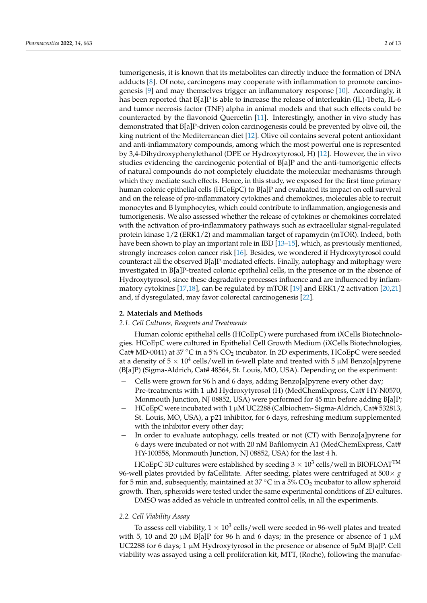tumorigenesis, it is known that its metabolites can directly induce the formation of DNA adducts [\[8\]](#page-10-7). Of note, carcinogens may cooperate with inflammation to promote carcinogenesis [\[9\]](#page-10-8) and may themselves trigger an inflammatory response [\[10\]](#page-10-9). Accordingly, it has been reported that  $B[a]P$  is able to increase the release of interleukin (IL)-1beta, IL-6 and tumor necrosis factor (TNF) alpha in animal models and that such effects could be counteracted by the flavonoid Quercetin [\[11\]](#page-10-10). Interestingly, another in vivo study has demonstrated that B[a]P-driven colon carcinogenesis could be prevented by olive oil, the king nutrient of the Mediterranean diet [\[12\]](#page-10-11). Olive oil contains several potent antioxidant and anti-inflammatory compounds, among which the most powerful one is represented by 3,4-Dihydroxyphenylethanol (DPE or Hydroxytyrosol, H) [\[12\]](#page-10-11). However, the in vivo studies evidencing the carcinogenic potential of B[a]P and the anti-tumorigenic effects of natural compounds do not completely elucidate the molecular mechanisms through which they mediate such effects. Hence, in this study, we exposed for the first time primary human colonic epithelial cells (HCoEpC) to B[a]P and evaluated its impact on cell survival and on the release of pro-inflammatory cytokines and chemokines, molecules able to recruit monocytes and B lymphocytes, which could contribute to inflammation, angiogenesis and tumorigenesis. We also assessed whether the release of cytokines or chemokines correlated with the activation of pro-inflammatory pathways such as extracellular signal-regulated protein kinase 1/2 (ERK1/2) and mammalian target of rapamycin (mTOR). Indeed, both have been shown to play an important role in IBD [13-[15\]](#page-10-13), which, as previously mentioned, strongly increases colon cancer risk [\[16\]](#page-10-14). Besides, we wondered if Hydroxytyrosol could counteract all the observed B[a]P-mediated effects. Finally, autophagy and mitophagy were investigated in B[a]P-treated colonic epithelial cells, in the presence or in the absence of Hydroxytyrosol, since these degradative processes influence and are influenced by inflammatory cytokines [\[17](#page-10-15)[,18\]](#page-11-0), can be regulated by mTOR [\[19\]](#page-11-1) and ERK1/2 activation [\[20,](#page-11-2)[21\]](#page-11-3) and, if dysregulated, may favor colorectal carcinogenesis [\[22\]](#page-11-4).

#### **2. Materials and Methods**

#### *2.1. Cell Cultures, Reagents and Treatments*

Human colonic epithelial cells (HCoEpC) were purchased from iXCells Biotechnologies. HCoEpC were cultured in Epithelial Cell Growth Medium (iXCells Biotechnologies, Cat# MD-0041) at 37 °C in a 5% CO<sub>2</sub> incubator. In 2D experiments, HCoEpC were seeded at a density of 5  $\times$  10<sup>4</sup> cells/well in 6-well plate and treated with 5  $\mu$ M Benzo[a]pyrene (B[a]P) (Sigma-Aldrich, Cat# 48564, St. Louis, MO, USA). Depending on the experiment:

- − Cells were grown for 96 h and 6 days, adding Benzo[a]pyrene every other day;
- − Pre-treatments with 1 µM Hydroxytyrosol (H) (MedChemExpress, Cat# HY-N0570, Monmouth Junction, NJ 08852, USA) were performed for 45 min before adding B[a]P;
- − HCoEpC were incubated with 1 µM UC2288 (Calbiochem- Sigma-Aldrich, Cat# 532813, St. Louis, MO, USA), a p21 inhibitor, for 6 days, refreshing medium supplemented with the inhibitor every other day;
- − In order to evaluate autophagy, cells treated or not (CT) with Benzo[a]pyrene for 6 days were incubated or not with 20 nM Bafilomycin A1 (MedChemExpress, Cat# HY-100558, Monmouth Junction, NJ 08852, USA) for the last 4 h.

HCoEpC 3D cultures were established by seeding 3  $\times$  10<sup>3</sup> cells/well in BIOFLOAT<sup>TM</sup> 96-well plates provided by faCellitate. After seeding, plates were centrifuged at 500× *g* for 5 min and, subsequently, maintained at 37 °C in a 5%  $CO<sub>2</sub>$  incubator to allow spheroid growth. Then, spheroids were tested under the same experimental conditions of 2D cultures.

DMSO was added as vehicle in untreated control cells, in all the experiments.

#### *2.2. Cell Viability Assay*

To assess cell viability,  $1 \times 10^3$  cells/well were seeded in 96-well plates and treated with 5, 10 and 20  $\mu$ M B[a]P for 96 h and 6 days; in the presence or absence of 1  $\mu$ M UC2288 for 6 days; 1 µM Hydroxytyrosol in the presence or absence of 5µM B[a]P. Cell viability was assayed using a cell proliferation kit, MTT, (Roche), following the manufac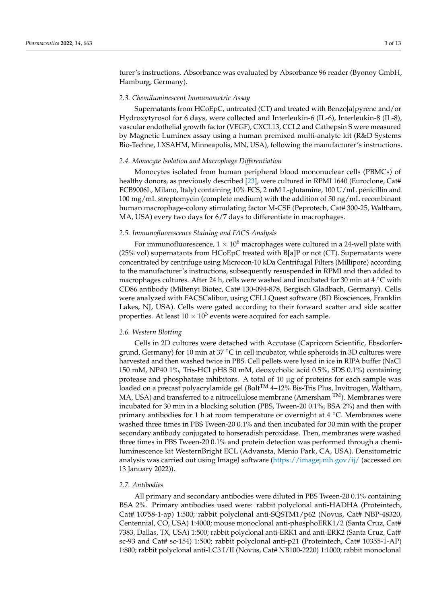turer's instructions. Absorbance was evaluated by Absorbance 96 reader (Byonoy GmbH, Hamburg, Germany).

#### *2.3. Chemiluminescent Immunometric Assay*

Supernatants from HCoEpC, untreated (CT) and treated with Benzo[a]pyrene and/or Hydroxytyrosol for 6 days, were collected and Interleukin-6 (IL-6), Interleukin-8 (IL-8), vascular endothelial growth factor (VEGF), CXCL13, CCL2 and Cathepsin S were measured by Magnetic Luminex assay using a human premixed multi-analyte kit (R&D Systems Bio-Techne, LXSAHM, Minneapolis, MN, USA), following the manufacturer's instructions.

## *2.4. Monocyte Isolation and Macrophage Differentiation*

Monocytes isolated from human peripheral blood mononuclear cells (PBMCs) of healthy donors, as previously described [\[23\]](#page-11-5), were cultured in RPMI 1640 (Euroclone, Cat# ECB9006L, Milano, Italy) containing 10% FCS, 2 mM L-glutamine, 100 U/mL penicillin and 100 mg/mL streptomycin (complete medium) with the addition of 50 ng/mL recombinant human macrophage-colony stimulating factor M-CSF (Peprotech, Cat# 300-25, Waltham, MA, USA) every two days for 6/7 days to differentiate in macrophages.

## *2.5. Immunofluorescence Staining and FACS Analysis*

For immunofluorescence,  $1 \times 10^6$  macrophages were cultured in a 24-well plate with (25% vol) supernatants from HCoEpC treated with B[a]P or not (CT). Supernatants were concentrated by centrifuge using Microcon-10 kDa Centrifugal Filters (Millipore) according to the manufacturer's instructions, subsequently resuspended in RPMI and then added to macrophages cultures. After 24 h, cells were washed and incubated for 30 min at 4  $\degree$ C with CD86 antibody (Miltenyi Biotec, Cat# 130-094-878, Bergisch Gladbach, Germany). Cells were analyzed with FACSCalibur, using CELLQuest software (BD Biosciences, Franklin Lakes, NJ, USA). Cells were gated according to their forward scatter and side scatter properties. At least  $10 \times 10^3$  events were acquired for each sample.

#### *2.6. Western Blotting*

Cells in 2D cultures were detached with Accutase (Capricorn Scientific, Ebsdorfergrund, Germany) for 10 min at 37  $\degree$ C in cell incubator, while spheroids in 3D cultures were harvested and then washed twice in PBS. Cell pellets were lysed in ice in RIPA buffer (NaCl 150 mM, NP40 1%, Tris-HCl pH8 50 mM, deoxycholic acid 0.5%, SDS 0.1%) containing protease and phosphatase inhibitors. A total of  $10 \mu$ g of proteins for each sample was loaded on a precast polyacrylamide gel (Bolt<sup>TM</sup> 4–12% Bis-Tris Plus, Invitrogen, Waltham, MA, USA) and transferred to a nitrocellulose membrane (Amersham TM). Membranes were incubated for 30 min in a blocking solution (PBS, Tween-20 0.1%, BSA 2%) and then with primary antibodies for 1 h at room temperature or overnight at 4  $°C$ . Membranes were washed three times in PBS Tween-20 0.1% and then incubated for 30 min with the proper secondary antibody conjugated to horseradish peroxidase. Then, membranes were washed three times in PBS Tween-20 0.1% and protein detection was performed through a chemiluminescence kit WesternBright ECL (Advansta, Menio Park, CA, USA). Densitometric analysis was carried out using ImageJ software [\(https://imagej.nih.gov/ij/](https://imagej.nih.gov/ij/) (accessed on 13 January 2022)).

## *2.7. Antibodies*

All primary and secondary antibodies were diluted in PBS Tween-20 0.1% containing BSA 2%. Primary antibodies used were: rabbit polyclonal anti-HADHA (Proteintech, Cat# 10758-1-ap) 1:500; rabbit polyclonal anti-SQSTM1/p62 (Novus, Cat# NBP-48320, Centennial, CO, USA) 1:4000; mouse monoclonal anti-phosphoERK1/2 (Santa Cruz, Cat# 7383, Dallas, TX, USA) 1:500; rabbit polyclonal anti-ERK1 and anti-ERK2 (Santa Cruz, Cat# sc-93 and Cat# sc-154) 1:500; rabbit polyclonal anti-p21 (Proteintech, Cat# 10355-1-AP) 1:800; rabbit polyclonal anti-LC3 I/II (Novus, Cat# NB100-2220) 1:1000; rabbit monoclonal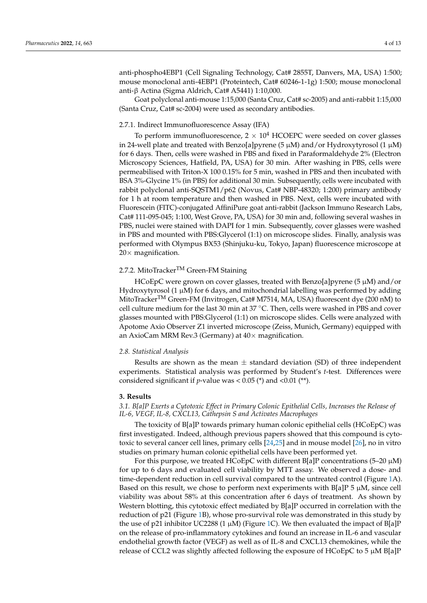anti-phospho4EBP1 (Cell Signaling Technology, Cat# 2855T, Danvers, MA, USA) 1:500; mouse monoclonal anti-4EBP1 (Proteintech, Cat# 60246-1-1g) 1:500; mouse monoclonal anti-β Actina (Sigma Aldrich, Cat# A5441) 1:10,000.

Goat polyclonal anti-mouse 1:15,000 (Santa Cruz, Cat# sc-2005) and anti-rabbit 1:15,000 (Santa Cruz, Cat# sc-2004) were used as secondary antibodies.

#### 2.7.1. Indirect Immunofluorescence Assay (IFA)

To perform immunofluorescence,  $2 \times 10^4$  HCOEPC were seeded on cover glasses in 24-well plate and treated with Benzo[a]pyrene (5  $\mu$ M) and/or Hydroxytyrosol (1  $\mu$ M) for 6 days. Then, cells were washed in PBS and fixed in Paraformaldehyde 2% (Electron Microscopy Sciences, Hatfield, PA, USA) for 30 min. After washing in PBS, cells were permeabilised with Triton-X 100 0.15% for 5 min, washed in PBS and then incubated with BSA 3%-Glycine 1% (in PBS) for additional 30 min. Subsequently, cells were incubated with rabbit polyclonal anti-SQSTM1/p62 (Novus, Cat# NBP-48320; 1:200) primary antibody for 1 h at room temperature and then washed in PBS. Next, cells were incubated with Fluorescein (FITC)-conjugated AffiniPure goat anti-rabbit (Jackson Immuno Research Labs, Cat# 111-095-045; 1:100, West Grove, PA, USA) for 30 min and, following several washes in PBS, nuclei were stained with DAPI for 1 min. Subsequently, cover glasses were washed in PBS and mounted with PBS:Glycerol (1:1) on microscope slides. Finally, analysis was performed with Olympus BX53 (Shinjuku-ku, Tokyo, Japan) fluorescence microscope at  $20\times$  magnification.

## 2.7.2. MitoTracker<sup>TM</sup> Green-FM Staining

HCoEpC were grown on cover glasses, treated with Benzo[a]pyrene (5  $\mu$ M) and/or Hydroxytyrosol (1  $\mu$ M) for 6 days, and mitochondrial labelling was performed by adding MitoTrackerTM Green-FM (Invitrogen, Cat# M7514, MA, USA) fluorescent dye (200 nM) to cell culture medium for the last 30 min at 37 ◦C. Then, cells were washed in PBS and cover glasses mounted with PBS:Glycerol (1:1) on microscope slides. Cells were analyzed with Apotome Axio Observer Z1 inverted microscope (Zeiss, Munich, Germany) equipped with an AxioCam MRM Rev.3 (Germany) at  $40\times$  magnification.

#### *2.8. Statistical Analysis*

Results are shown as the mean  $\pm$  standard deviation (SD) of three independent experiments. Statistical analysis was performed by Student's *t*-test. Differences were considered significant if *p*-value was <  $0.05$  (\*) and < $0.01$  (\*\*).

#### **3. Results**

*3.1. B[a]P Exerts a Cytotoxic Effect in Primary Colonic Epithelial Cells, Increases the Release of IL-6, VEGF, IL-8, CXCL13, Cathepsin S and Activates Macrophages*

The toxicity of B[a]P towards primary human colonic epithelial cells (HCoEpC) was first investigated. Indeed, although previous papers showed that this compound is cytotoxic to several cancer cell lines, primary cells [\[24](#page-11-6)[,25\]](#page-11-7) and in mouse model [\[26\]](#page-11-8), no in vitro studies on primary human colonic epithelial cells have been performed yet.

For this purpose, we treated HCoEpC with different B[a]P concentrations (5-20  $\mu$ M) for up to 6 days and evaluated cell viability by MTT assay. We observed a dose- and time-dependent reduction in cell survival compared to the untreated control (Figure [1A](#page-4-0)). Based on this result, we chose to perform next experiments with  $B[a]P 5 \mu M$ , since cell viability was about 58% at this concentration after 6 days of treatment. As shown by Western blotting, this cytotoxic effect mediated by B[a]P occurred in correlation with the reduction of p21 (Figure [1B](#page-4-0)), whose pro-survival role was demonstrated in this study by the use of p21 inhibitor UC2288 (1  $\mu$ M) (Figure [1C](#page-4-0)). We then evaluated the impact of B[a]P on the release of pro-inflammatory cytokines and found an increase in IL-6 and vascular endothelial growth factor (VEGF) as well as of IL-8 and CXCL13 chemokines, while the release of CCL2 was slightly affected following the exposure of HCoEpC to 5  $\mu$ M B[a]P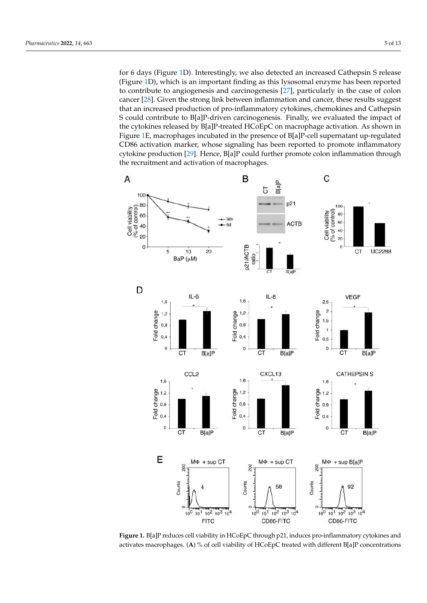for 6 days (Figure [1D](#page-4-0)). Interestingly, we also detected an increased Cathepsin S release (Figure [1D](#page-4-0)), which is an important finding as this lysosomal enzyme has been reported to contribute to angiogenesis and carcinogenesis [\[27\]](#page-11-9), particularly in the case of colon cancer [\[28\]](#page-11-10). Given the strong link between inflammation and cancer, these results suggest that an increased production of pro-inflammatory cytokines, chemokines and Cathepsin S could contribute to B[a]P-driven carcinogenesis. Finally, we evaluated the impact of the cytokines released by B[a]P-treated HCoEpC on macrophage activation. As shown in Figure [1E](#page-4-0), macrophages incubated in the presence of B[a]P-cell supernatant up-regulated CD86 activation marker, whose signaling has been reported to promote inflammatory cytokine production [\[29\]](#page-11-11). Hence, B[a]P could further promote colon inflammation through the recruitment and activation of macrophages.

<span id="page-4-0"></span>

**Figure 1.** B[a]P reduces cell viability in HCoEpC through p21, induces pro-inflammatory cytokines and activates macrophages. (**A**) % of cell viability of HCoEpC treated with different B[a]P concentrations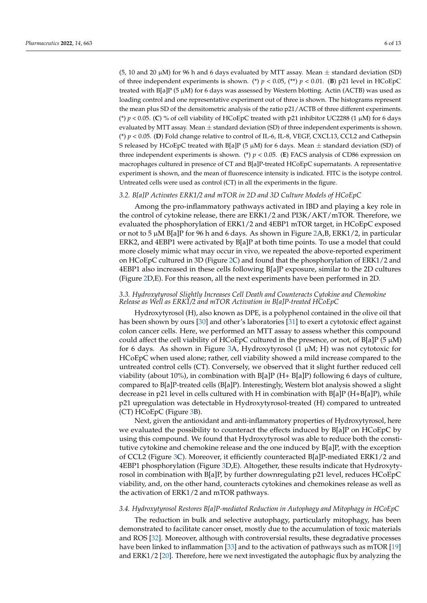(5, 10 and 20  $\mu$ M) for 96 h and 6 days evaluated by MTT assay. Mean  $\pm$  standard deviation (SD) of three independent experiments is shown. (\*)  $p < 0.05$ , (\*\*)  $p < 0.01$ . (B) p21 level in HCoEpC treated with B[a]P (5 µM) for 6 days was assessed by Western blotting. Actin (ACTB) was used as loading control and one representative experiment out of three is shown. The histograms represent the mean plus SD of the densitometric analysis of the ratio p21/ACTB of three different experiments. (\*)  $p < 0.05$ . (C) % of cell viability of HCoEpC treated with p21 inhibitor UC2288 (1  $\mu$ M) for 6 days evaluated by MTT assay. Mean  $\pm$  standard deviation (SD) of three independent experiments is shown. (\*) *p* < 0.05. (**D**) Fold change relative to control of IL-6, IL-8, VEGF, CXCL13, CCL2 and Cathepsin S released by HCoEpC treated with B[a]P (5  $\mu$ M) for 6 days. Mean  $\pm$  standard deviation (SD) of three independent experiments is shown. (\*)  $p < 0.05$ . (E) FACS analysis of CD86 expression on macrophages cultured in presence of CT and B[a]P-treated HCoEpC supernatants. A representative experiment is shown, and the mean of fluorescence intensity is indicated. FITC is the isotype control. Untreated cells were used as control (CT) in all the experiments in the figure.

## *3.2. B[a]P Activates ERK1/2 and mTOR in 2D and 3D Culture Models of HCoEpC*

Among the pro-inflammatory pathways activated in IBD and playing a key role in the control of cytokine release, there are ERK1/2 and PI3K/AKT/mTOR. Therefore, we evaluated the phosphorylation of ERK1/2 and 4EBP1 mTOR target, in HCoEpC exposed or not to 5 µM B[a]P for 96 h and 6 days. As shown in Figure [2A](#page-6-0),B, ERK1/2, in particular ERK2, and 4EBP1 were activated by B[a]P at both time points. To use a model that could more closely mimic what may occur in vivo, we repeated the above-reported experiment on HCoEpC cultured in 3D (Figure [2C](#page-6-0)) and found that the phosphorylation of ERK1/2 and 4EBP1 also increased in these cells following B[a]P exposure, similar to the 2D cultures (Figure [2D](#page-6-0),E). For this reason, all the next experiments have been performed in 2D.

## *3.3. Hydroxytyrosol Slightly Increases Cell Death and Counteracts Cytokine and Chemokine Release as Well as ERK1/2 and mTOR Activation in B[a]P-treated HCoEpC*

Hydroxytyrosol (H), also known as DPE, is a polyphenol contained in the olive oil that has been shown by ours [\[30\]](#page-11-12) and other's laboratories [\[31\]](#page-11-13) to exert a cytotoxic effect against colon cancer cells. Here, we performed an MTT assay to assess whether this compound could affect the cell viability of HCoEpC cultured in the presence, or not, of B[a]P (5  $\mu$ M) for 6 days. As shown in Figure [3A](#page-7-0), Hydroxytyrosol  $(1 \mu M; H)$  was not cytotoxic for HCoEpC when used alone; rather, cell viability showed a mild increase compared to the untreated control cells (CT). Conversely, we observed that it slight further reduced cell viability (about 10%), in combination with  $B[a]P(H+ B[a]P)$  following 6 days of culture, compared to B[a]P-treated cells (B[a]P). Interestingly, Western blot analysis showed a slight decrease in p21 level in cells cultured with H in combination with  $B[a]P(H+B[a]P)$ , while p21 upregulation was detectable in Hydroxytyrosol-treated (H) compared to untreated (CT) HCoEpC (Figure [3B](#page-7-0)).

Next, given the antioxidant and anti-inflammatory properties of Hydroxytyrosol, here we evaluated the possibility to counteract the effects induced by B[a]P on HCoEpC by using this compound. We found that Hydroxytyrosol was able to reduce both the constitutive cytokine and chemokine release and the one induced by B[a]P, with the exception of CCL2 (Figure [3C](#page-7-0)). Moreover, it efficiently counteracted B[a]P-mediated ERK1/2 and 4EBP1 phosphorylation (Figure [3D](#page-7-0),E). Altogether, these results indicate that Hydroxytyrosol in combination with B[a]P, by further downregulating p21 level, reduces HCoEpC viability, and, on the other hand, counteracts cytokines and chemokines release as well as the activation of ERK1/2 and mTOR pathways.

#### *3.4. Hydroxytyrosol Restores B[a]P-mediated Reduction in Autophagy and Mitophagy in HCoEpC*

The reduction in bulk and selective autophagy, particularly mitophagy, has been demonstrated to facilitate cancer onset, mostly due to the accumulation of toxic materials and ROS [\[32\]](#page-11-14). Moreover, although with controversial results, these degradative processes have been linked to inflammation [\[33\]](#page-11-15) and to the activation of pathways such as mTOR [\[19\]](#page-11-1) and ERK1/2 [\[20\]](#page-11-2). Therefore, here we next investigated the autophagic flux by analyzing the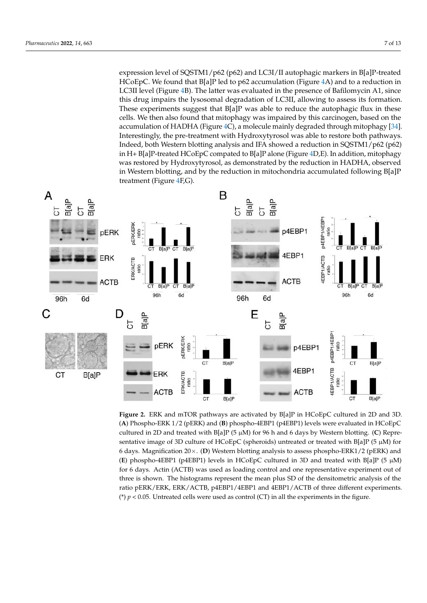expression level of SQSTM1/p62 (p62) and LC3I/II autophagic markers in B[a]P-treated HCoEpC. We found that B[a]P led to p62 accumulation (Figure [4A](#page-8-0)) and to a reduction in LC3II level (Figure [4B](#page-8-0)). The latter was evaluated in the presence of Bafilomycin A1, since this drug impairs the lysosomal degradation of LC3II, allowing to assess its formation. These experiments suggest that B[a]P was able to reduce the autophagic flux in these cells. We then also found that mitophagy was impaired by this carcinogen, based on the accumulation of HADHA (Figure [4C](#page-8-0)), a molecule mainly degraded through mitophagy [\[34\]](#page-11-16). Interestingly, the pre-treatment with Hydroxytyrosol was able to restore both pathways. Indeed, both Western blotting analysis and IFA showed a reduction in SQSTM1/p62 (p62) in H+ B[a]P-treated HCoEpC compated to B[a]P alone (Figure [4D](#page-8-0),E). In addition, mitophagy was restored by Hydroxytyrosol, as demonstrated by the reduction in HADHA, observed in Western blotting, and by the reduction in mitochondria accumulated following B[a]P treatment (Figure [4F](#page-8-0),G).

<span id="page-6-0"></span>

**Figure 2.** ERK and mTOR pathways are activated by B[a]P in HCoEpC cultured in 2D and 3D. (**A**) Phospho-ERK 1/2 (pERK) and (**B**) phospho-4EBP1 (p4EBP1) levels were evaluated in HCoEpC cultured in 2D and treated with B[a]P (5 µM) for 96 h and 6 days by Western blotting. (**C**) Representative image of 3D culture of HCoEpC (spheroids) untreated or treated with B[a]P (5 µM) for 6 days. Magnification 20×. (**D**) Western blotting analysis to assess phospho-ERK1/2 (pERK) and (**E**) phospho-4EBP1 (p4EBP1) levels in HCoEpC cultured in 3D and treated with B[a]P ( $5 \mu M$ ) for 6 days. Actin (ACTB) was used as loading control and one representative experiment out of three is shown. The histograms represent the mean plus SD of the densitometric analysis of the ratio pERK/ERK, ERK/ACTB, p4EBP1/4EBP1 and 4EBP1/ACTB of three different experiments. ( $*$ )  $p$  < 0.05. Untreated cells were used as control (CT) in all the experiments in the figure.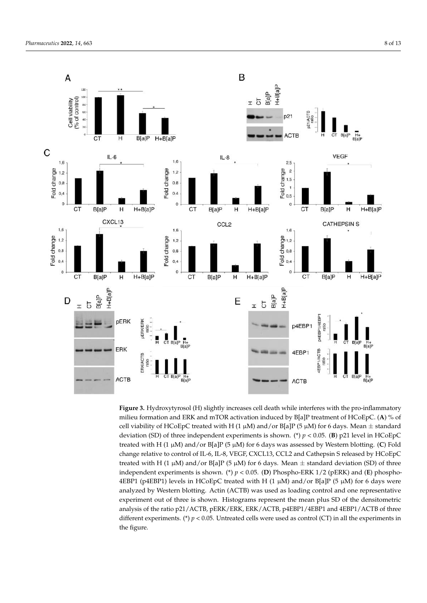<span id="page-7-0"></span>

**Figure 3.** Hydroxytyrosol (H) slightly increases cell death while interferes with the pro-inflammatory milieu formation and ERK and mTOR activation induced by B[a]P treatment of HCoEpC. (**A**) % of cell viability of HCoEpC treated with H (1  $\mu$ M) and/or B[a]P (5  $\mu$ M) for 6 days. Mean  $\pm$  standard deviation (SD) of three independent experiments is shown. (\*)  $p < 0.05$ . (**B**) p21 level in HCoEpC treated with H (1 µM) and/or B[a]P (5 µM) for 6 days was assessed by Western blotting. (**C**) Fold change relative to control of IL-6, IL-8, VEGF, CXCL13, CCL2 and Cathepsin S released by HCoEpC treated with H (1  $\mu$ M) and/or B[a]P (5  $\mu$ M) for 6 days. Mean  $\pm$  standard deviation (SD) of three independent experiments is shown. (\*) *p* < 0.05. (**D**) Phospho-ERK 1/2 (pERK) and (**E**) phospho-4EBP1 (p4EBP1) levels in HCoEpC treated with H (1  $\mu$ M) and/or B[a]P (5  $\mu$ M) for 6 days were analyzed by Western blotting. Actin (ACTB) was used as loading control and one representative experiment out of three is shown. Histograms represent the mean plus SD of the densitometric analysis of the ratio p21/ACTB, pERK/ERK, ERK/ACTB, p4EBP1/4EBP1 and 4EBP1/ACTB of three different experiments. (\*) *p* < 0.05. Untreated cells were used as control (CT) in all the experiments in the figure.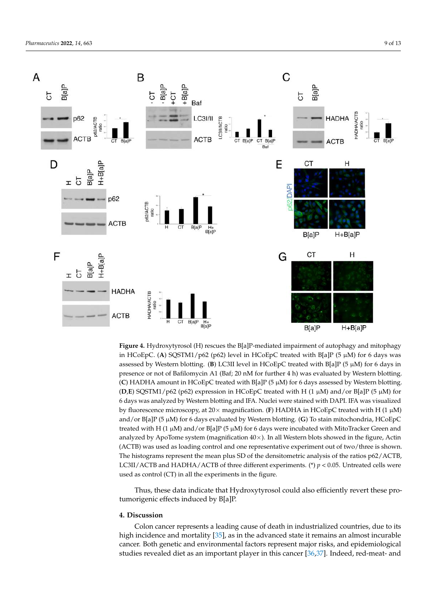<span id="page-8-0"></span>

**Figure 4.** Hydroxytyrosol (H) rescues the B[a]P-mediated impairment of autophagy and mitophagy in HCoEpC. (**A**) SQSTM1/p62 (p62) level in HCoEpC treated with B[a]P (5 µM) for 6 days was assessed by Western blotting. (**B**) LC3II level in HCoEpC treated with B[a]P (5 µM) for 6 days in presence or not of Bafilomycin A1 (Baf; 20 nM for further 4 h) was evaluated by Western blotting. (**C**) HADHA amount in HCoEpC treated with B[a]P (5 µM) for 6 days assessed by Western blotting.  $(D,E)$  SQSTM1/p62 (p62) expression in HCoEpC treated with H (1  $\mu$ M) and/or B[a]P (5  $\mu$ M) for 6 days was analyzed by Western blotting and IFA. Nuclei were stained with DAPI. IFA was visualized by fluorescence microscopy, at 20× magnification. (**F**) HADHA in HCoEpC treated with H (1 µM) and/or B[a]P (5 µM) for 6 days evaluated by Western blotting. (**G**) To stain mitochondria, HCoEpC treated with H (1  $\mu$ M) and/or B[a]P (5  $\mu$ M) for 6 days were incubated with MitoTracker Green and analyzed by ApoTome system (magnification  $40\times$ ). In all Western blots showed in the figure, Actin (ACTB) was used as loading control and one representative experiment out of two/three is shown. The histograms represent the mean plus SD of the densitometric analysis of the ratios p62/ACTB, LC3II/ACTB and HADHA/ACTB of three different experiments. (\*)  $p < 0.05$ . Untreated cells were used as control (CT) in all the experiments in the figure.

Thus, these data indicate that Hydroxytyrosol could also efficiently revert these protumorigenic effects induced by B[a]P.

## **4. Discussion**

Colon cancer represents a leading cause of death in industrialized countries, due to its high incidence and mortality [\[35\]](#page-11-17), as in the advanced state it remains an almost incurable cancer. Both genetic and environmental factors represent major risks, and epidemiological studies revealed diet as an important player in this cancer [\[36,](#page-11-18)[37\]](#page-11-19). Indeed, red-meat- and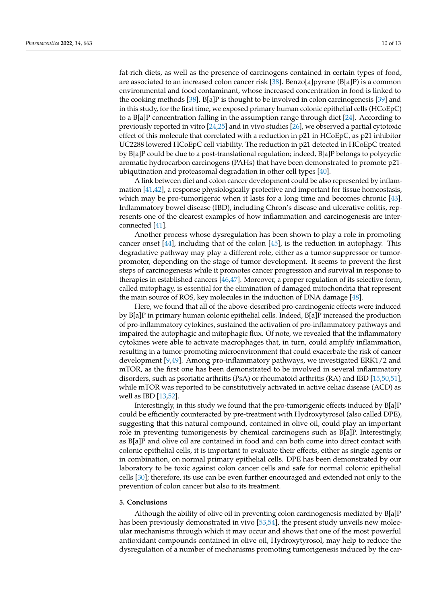fat-rich diets, as well as the presence of carcinogens contained in certain types of food, are associated to an increased colon cancer risk [\[38\]](#page-11-20). Benzo[a]pyrene (B[a]P) is a common environmental and food contaminant, whose increased concentration in food is linked to the cooking methods [\[38\]](#page-11-20). B[a]P is thought to be involved in colon carcinogenesis [\[39\]](#page-11-21) and in this study, for the first time, we exposed primary human colonic epithelial cells (HCoEpC) to a B[a]P concentration falling in the assumption range through diet [\[24\]](#page-11-6). According to previously reported in vitro [\[24,](#page-11-6)[25\]](#page-11-7) and in vivo studies [\[26\]](#page-11-8), we observed a partial cytotoxic effect of this molecule that correlated with a reduction in p21 in HCoEpC, as p21 inhibitor UC2288 lowered HCoEpC cell viability. The reduction in p21 detected in HCoEpC treated by B[a]P could be due to a post-translational regulation; indeed, B[a]P belongs to polycyclic aromatic hydrocarbon carcinogens (PAHs) that have been demonstrated to promote p21 ubiqutination and proteasomal degradation in other cell types [\[40\]](#page-11-22).

A link between diet and colon cancer development could be also represented by inflammation [\[41](#page-11-23)[,42\]](#page-11-24), a response physiologically protective and important for tissue homeostasis, which may be pro-tumorigenic when it lasts for a long time and becomes chronic [\[43\]](#page-12-0). Inflammatory bowel disease (IBD), including Chron's disease and ulcerative colitis, represents one of the clearest examples of how inflammation and carcinogenesis are interconnected [\[41\]](#page-11-23).

Another process whose dysregulation has been shown to play a role in promoting cancer onset [\[44\]](#page-12-1), including that of the colon [\[45\]](#page-12-2), is the reduction in autophagy. This degradative pathway may play a different role, either as a tumor-suppressor or tumorpromoter, depending on the stage of tumor development. It seems to prevent the first steps of carcinogenesis while it promotes cancer progression and survival in response to therapies in established cancers [\[46](#page-12-3)[,47\]](#page-12-4). Moreover, a proper regulation of its selective form, called mitophagy, is essential for the elimination of damaged mitochondria that represent the main source of ROS, key molecules in the induction of DNA damage [\[48\]](#page-12-5).

Here, we found that all of the above-described pro-carcinogenic effects were induced by B[a]P in primary human colonic epithelial cells. Indeed, B[a]P increased the production of pro-inflammatory cytokines, sustained the activation of pro-inflammatory pathways and impaired the autophagic and mitophagic flux. Of note, we revealed that the inflammatory cytokines were able to activate macrophages that, in turn, could amplify inflammation, resulting in a tumor-promoting microenvironment that could exacerbate the risk of cancer development [\[9](#page-10-8)[,49\]](#page-12-6). Among pro-inflammatory pathways, we investigated ERK1/2 and mTOR, as the first one has been demonstrated to be involved in several inflammatory disorders, such as psoriatic arthritis (PsA) or rheumatoid arthritis (RA) and IBD [\[15](#page-10-13)[,50](#page-12-7)[,51\]](#page-12-8), while mTOR was reported to be constitutively activated in active celiac disease (ACD) as well as IBD [\[13](#page-10-12)[,52\]](#page-12-9).

Interestingly, in this study we found that the pro-tumorigenic effects induced by B[a]P could be efficiently counteracted by pre-treatment with Hydroxytyrosol (also called DPE), suggesting that this natural compound, contained in olive oil, could play an important role in preventing tumorigenesis by chemical carcinogens such as B[a]P. Interestingly, as B[a]P and olive oil are contained in food and can both come into direct contact with colonic epithelial cells, it is important to evaluate their effects, either as single agents or in combination, on normal primary epithelial cells. DPE has been demonstrated by our laboratory to be toxic against colon cancer cells and safe for normal colonic epithelial cells [\[30\]](#page-11-12); therefore, its use can be even further encouraged and extended not only to the prevention of colon cancer but also to its treatment.

#### **5. Conclusions**

Although the ability of olive oil in preventing colon carcinogenesis mediated by B[a]P has been previously demonstrated in vivo [\[53,](#page-12-10)[54\]](#page-12-11), the present study unveils new molecular mechanisms through which it may occur and shows that one of the most powerful antioxidant compounds contained in olive oil, Hydroxytyrosol, may help to reduce the dysregulation of a number of mechanisms promoting tumorigenesis induced by the car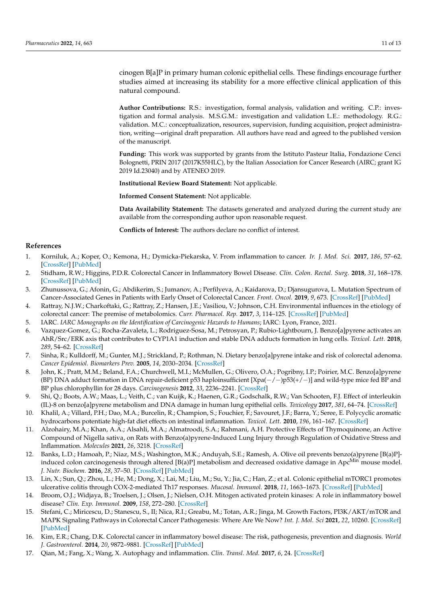cinogen B[a]P in primary human colonic epithelial cells. These findings encourage further studies aimed at increasing its stability for a more effective clinical application of this natural compound.

**Author Contributions:** R.S.: investigation, formal analysis, validation and writing. C.P.: investigation and formal analysis. M.S.G.M.: investigation and validation L.E.: methodology. R.G.: validation. M.C.: conceptualization, resources, supervision, funding acquisition, project administration, writing—original draft preparation. All authors have read and agreed to the published version of the manuscript.

**Funding:** This work was supported by grants from the Istituto Pasteur Italia, Fondazione Cenci Bolognetti, PRIN 2017 (2017K55HLC), by the Italian Association for Cancer Research (AIRC; grant IG 2019 Id.23040) and by ATENEO 2019.

**Institutional Review Board Statement:** Not applicable.

**Informed Consent Statement:** Not applicable.

**Data Availability Statement:** The datasets generated and analyzed during the current study are available from the corresponding author upon reasonable request.

**Conflicts of Interest:** The authors declare no conflict of interest.

## **References**

- <span id="page-10-0"></span>1. Korniluk, A.; Koper, O.; Kemona, H.; Dymicka-Piekarska, V. From inflammation to cancer. *Ir. J. Med. Sci.* **2017**, *186*, 57–62. [\[CrossRef\]](http://doi.org/10.1007/s11845-016-1464-0) [\[PubMed\]](http://www.ncbi.nlm.nih.gov/pubmed/27156054)
- <span id="page-10-1"></span>2. Stidham, R.W.; Higgins, P.D.R. Colorectal Cancer in Inflammatory Bowel Disease. *Clin. Colon. Rectal. Surg.* **2018**, *31*, 168–178. [\[CrossRef\]](http://doi.org/10.1055/s-0037-1602237) [\[PubMed\]](http://www.ncbi.nlm.nih.gov/pubmed/29720903)
- <span id="page-10-2"></span>3. Zhunussova, G.; Afonin, G.; Abdikerim, S.; Jumanov, A.; Perfilyeva, A.; Kaidarova, D.; Djansugurova, L. Mutation Spectrum of Cancer-Associated Genes in Patients with Early Onset of Colorectal Cancer. *Front. Oncol.* **2019**, *9*, 673. [\[CrossRef\]](http://doi.org/10.3389/fonc.2019.00673) [\[PubMed\]](http://www.ncbi.nlm.nih.gov/pubmed/31428572)
- <span id="page-10-3"></span>4. Rattray, N.J.W.; Charkoftaki, G.; Rattray, Z.; Hansen, J.E.; Vasiliou, V.; Johnson, C.H. Environmental influences in the etiology of colorectal cancer: The premise of metabolomics. *Curr. Pharmacol. Rep.* **2017**, *3*, 114–125. [\[CrossRef\]](http://doi.org/10.1007/s40495-017-0088-z) [\[PubMed\]](http://www.ncbi.nlm.nih.gov/pubmed/28642837)
- <span id="page-10-4"></span>5. IARC. *IARC Monographs on the Identification of Carcinogenic Hazards to Humans*; IARC: Lyon, France, 2021.
- <span id="page-10-5"></span>6. Vazquez-Gomez, G.; Rocha-Zavaleta, L.; Rodriguez-Sosa, M.; Petrosyan, P.; Rubio-Lightbourn, J. Benzo[a]pyrene activates an AhR/Src/ERK axis that contributes to CYP1A1 induction and stable DNA adducts formation in lung cells. *Toxicol. Lett.* **2018**, *289*, 54–62. [\[CrossRef\]](http://doi.org/10.1016/j.toxlet.2018.03.012)
- <span id="page-10-6"></span>7. Sinha, R.; Kulldorff, M.; Gunter, M.J.; Strickland, P.; Rothman, N. Dietary benzo[a]pyrene intake and risk of colorectal adenoma. *Cancer Epidemiol. Biomarkers Prev.* **2005**, *14*, 2030–2034. [\[CrossRef\]](http://doi.org/10.1158/1055-9965.EPI-04-0854)
- <span id="page-10-7"></span>8. John, K.; Pratt, M.M.; Beland, F.A.; Churchwell, M.I.; McMullen, G.; Olivero, O.A.; Pogribny, I.P.; Poirier, M.C. Benzo[a]pyrene (BP) DNA adduct formation in DNA repair-deficient p53 haploinsufficient [Xpa(−/−)p53(+/−)] and wild-type mice fed BP and BP plus chlorophyllin for 28 days. *Carcinogenesis* **2012**, *33*, 2236–2241. [\[CrossRef\]](http://doi.org/10.1093/carcin/bgs247)
- <span id="page-10-8"></span>9. Shi, Q.; Boots, A.W.; Maas, L.; Veith, C.; van Kuijk, K.; Haenen, G.R.; Godschalk, R.W.; Van Schooten, F.J. Effect of interleukin (IL)-8 on benzo[a]pyrene metabolism and DNA damage in human lung epithelial cells. *Toxicology* **2017**, *381*, 64–74. [\[CrossRef\]](http://doi.org/10.1016/j.tox.2017.02.013)
- <span id="page-10-9"></span>10. Khalil, A.; Villard, P.H.; Dao, M.A.; Burcelin, R.; Champion, S.; Fouchier, F.; Savouret, J.F.; Barra, Y.; Seree, E. Polycyclic aromatic hydrocarbons potentiate high-fat diet effects on intestinal inflammation. *Toxicol. Lett.* **2010**, *196*, 161–167. [\[CrossRef\]](http://doi.org/10.1016/j.toxlet.2010.04.010)
- <span id="page-10-10"></span>11. Alzohairy, M.A.; Khan, A.A.; Alsahli, M.A.; Almatroodi, S.A.; Rahmani, A.H. Protective Effects of Thymoquinone, an Active Compound of Nigella sativa, on Rats with Benzo(a)pyrene-Induced Lung Injury through Regulation of Oxidative Stress and Inflammation. *Molecules* **2021**, *26*, 3218. [\[CrossRef\]](http://doi.org/10.3390/molecules26113218)
- <span id="page-10-11"></span>12. Banks, L.D.; Hamoah, P.; Niaz, M.S.; Washington, M.K.; Anduyah, S.E.; Ramesh, A. Olive oil prevents benzo(a)pyrene [B(a)P] induced colon carcinogenesis through altered  $[B(a)P]$  metabolism and decreased oxidative damage in Apc<sup>Min</sup> mouse model. *J. Nutr. Biochem.* **2016**, *28*, 37–50. [\[CrossRef\]](http://doi.org/10.1016/j.jnutbio.2015.09.023) [\[PubMed\]](http://www.ncbi.nlm.nih.gov/pubmed/26878781)
- <span id="page-10-12"></span>13. Lin, X.; Sun, Q.; Zhou, L.; He, M.; Dong, X.; Lai, M.; Liu, M.; Su, Y.; Jia, C.; Han, Z.; et al. Colonic epithelial mTORC1 promotes ulcerative colitis through COX-2-mediated Th17 responses. *Mucosal. Immunol.* **2018**, *11*, 1663–1673. [\[CrossRef\]](http://doi.org/10.1038/s41385-018-0018-3) [\[PubMed\]](http://www.ncbi.nlm.nih.gov/pubmed/30082707)
- 14. Broom, O.J.; Widjaya, B.; Troelsen, J.; Olsen, J.; Nielsen, O.H. Mitogen activated protein kinases: A role in inflammatory bowel disease? *Clin. Exp. Immunol.* **2009**, *158*, 272–280. [\[CrossRef\]](http://doi.org/10.1111/j.1365-2249.2009.04033.x)
- <span id="page-10-13"></span>15. Stefani, C.; Miricescu, D.; Stanescu, S., II; Nica, R.I.; Greabu, M.; Totan, A.R.; Jinga, M. Growth Factors, PI3K/AKT/mTOR and MAPK Signaling Pathways in Colorectal Cancer Pathogenesis: Where Are We Now? *Int. J. Mol. Sci* **2021**, *22*, 10260. [\[CrossRef\]](http://doi.org/10.3390/ijms221910260) [\[PubMed\]](http://www.ncbi.nlm.nih.gov/pubmed/34638601)
- <span id="page-10-14"></span>16. Kim, E.R.; Chang, D.K. Colorectal cancer in inflammatory bowel disease: The risk, pathogenesis, prevention and diagnosis. *World J. Gastroenterol.* **2014**, *20*, 9872–9881. [\[CrossRef\]](http://doi.org/10.3748/wjg.v20.i29.9872) [\[PubMed\]](http://www.ncbi.nlm.nih.gov/pubmed/25110418)
- <span id="page-10-15"></span>17. Qian, M.; Fang, X.; Wang, X. Autophagy and inflammation. *Clin. Transl. Med.* **2017**, *6*, 24. [\[CrossRef\]](http://doi.org/10.1186/s40169-017-0154-5)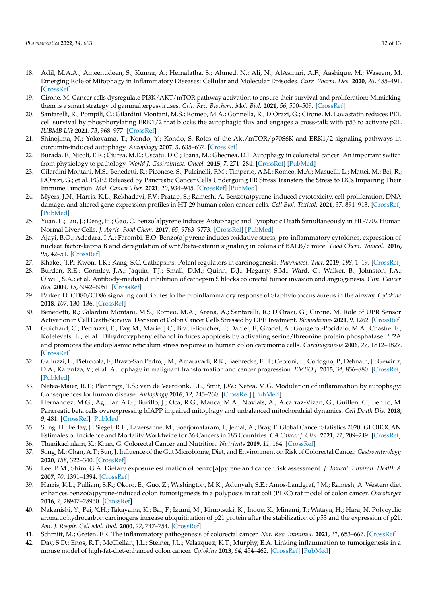- <span id="page-11-0"></span>18. Adil, M.A.A.; Ameenudeen, S.; Kumar, A.; Hemalatha, S.; Ahmed, N.; Ali, N.; AlAsmari, A.F.; Aashique, M.; Waseem, M. Emerging Role of Mitophagy in Inflammatory Diseases: Cellular and Molecular Episodes. *Curr. Pharm. Des.* **2020**, *26*, 485–491. [\[CrossRef\]](http://doi.org/10.2174/1381612826666200107144810)
- <span id="page-11-1"></span>19. Cirone, M. Cancer cells dysregulate PI3K/AKT/mTOR pathway activation to ensure their survival and proliferation: Mimicking them is a smart strategy of gammaherpesviruses. *Crit. Rev. Biochem. Mol. Biol.* **2021**, *56*, 500–509. [\[CrossRef\]](http://doi.org/10.1080/10409238.2021.1934811)
- <span id="page-11-2"></span>20. Santarelli, R.; Pompili, C.; Gilardini Montani, M.S.; Romeo, M.A.; Gonnella, R.; D'Orazi, G.; Cirone, M. Lovastatin reduces PEL cell survival by phosphorylating ERK1/2 that blocks the autophagic flux and engages a cross-talk with p53 to activate p21. *IUBMB Life* **2021**, *73*, 968–977. [\[CrossRef\]](http://doi.org/10.1002/iub.2503)
- <span id="page-11-3"></span>21. Shinojima, N.; Yokoyama, T.; Kondo, Y.; Kondo, S. Roles of the Akt/mTOR/p70S6K and ERK1/2 signaling pathways in curcumin-induced autophagy. *Autophagy* **2007**, *3*, 635–637. [\[CrossRef\]](http://doi.org/10.4161/auto.4916)
- <span id="page-11-4"></span>22. Burada, F.; Nicoli, E.R.; Ciurea, M.E.; Uscatu, D.C.; Ioana, M.; Gheonea, D.I. Autophagy in colorectal cancer: An important switch from physiology to pathology. *World J. Gastrointest. Oncol.* **2015**, *7*, 271–284. [\[CrossRef\]](http://doi.org/10.4251/wjgo.v7.i11.271) [\[PubMed\]](http://www.ncbi.nlm.nih.gov/pubmed/26600927)
- <span id="page-11-5"></span>23. Gilardini Montani, M.S.; Benedetti, R.; Piconese, S.; Pulcinelli, F.M.; Timperio, A.M.; Romeo, M.A.; Masuelli, L.; Mattei, M.; Bei, R.; DOrazi, G.; et al. PGE2 Released by Pancreatic Cancer Cells Undergoing ER Stress Transfers the Stress to DCs Impairing Their Immune Function. *Mol. Cancer Ther.* **2021**, *20*, 934–945. [\[CrossRef\]](http://doi.org/10.1158/1535-7163.MCT-20-0699) [\[PubMed\]](http://www.ncbi.nlm.nih.gov/pubmed/33632872)
- <span id="page-11-6"></span>24. Myers, J.N.; Harris, K.L.; Rekhadevi, P.V.; Pratap, S.; Ramesh, A. Benzo(a)pyrene-induced cytotoxicity, cell proliferation, DNA damage, and altered gene expression profiles in HT-29 human colon cancer cells. *Cell Biol. Toxicol.* **2021**, *37*, 891–913. [\[CrossRef\]](http://doi.org/10.1007/s10565-020-09579-5) [\[PubMed\]](http://www.ncbi.nlm.nih.gov/pubmed/33411230)
- <span id="page-11-7"></span>25. Yuan, L.; Liu, J.; Deng, H.; Gao, C. Benzo[a]pyrene Induces Autophagic and Pyroptotic Death Simultaneously in HL-7702 Human Normal Liver Cells. *J. Agric. Food Chem.* **2017**, *65*, 9763–9773. [\[CrossRef\]](http://doi.org/10.1021/acs.jafc.7b03248) [\[PubMed\]](http://www.ncbi.nlm.nih.gov/pubmed/28990778)
- <span id="page-11-8"></span>26. Ajayi, B.O.; Adedara, I.A.; Farombi, E.O. Benzo(a)pyrene induces oxidative stress, pro-inflammatory cytokines, expression of nuclear factor-kappa B and deregulation of wnt/beta-catenin signaling in colons of BALB/c mice. *Food Chem. Toxicol.* **2016**, *95*, 42–51. [\[CrossRef\]](http://doi.org/10.1016/j.fct.2016.06.019)
- <span id="page-11-9"></span>27. Khaket, T.P.; Kwon, T.K.; Kang, S.C. Cathepsins: Potent regulators in carcinogenesis. *Pharmacol. Ther.* **2019**, *198*, 1–19. [\[CrossRef\]](http://doi.org/10.1016/j.pharmthera.2019.02.003)
- <span id="page-11-10"></span>28. Burden, R.E.; Gormley, J.A.; Jaquin, T.J.; Small, D.M.; Quinn, D.J.; Hegarty, S.M.; Ward, C.; Walker, B.; Johnston, J.A.; Olwill, S.A.; et al. Antibody-mediated inhibition of cathepsin S blocks colorectal tumor invasion and angiogenesis. *Clin. Cancer Res.* **2009**, *15*, 6042–6051. [\[CrossRef\]](http://doi.org/10.1158/1078-0432.CCR-09-1262)
- <span id="page-11-11"></span>29. Parker, D. CD80/CD86 signaling contributes to the proinflammatory response of Staphylococcus aureus in the airway. *Cytokine* **2018**, *107*, 130–136. [\[CrossRef\]](http://doi.org/10.1016/j.cyto.2018.01.016)
- <span id="page-11-12"></span>30. Benedetti, R.; Gilardini Montani, M.S.; Romeo, M.A.; Arena, A.; Santarelli, R.; D'Orazi, G.; Cirone, M. Role of UPR Sensor Activation in Cell Death-Survival Decision of Colon Cancer Cells Stressed by DPE Treatment. *Biomedicines* **2021**, *9*, 1262. [\[CrossRef\]](http://doi.org/10.3390/biomedicines9091262)
- <span id="page-11-13"></span>31. Guichard, C.; Pedruzzi, E.; Fay, M.; Marie, J.C.; Braut-Boucher, F.; Daniel, F.; Grodet, A.; Gougerot-Pocidalo, M.A.; Chastre, E.; Kotelevets, L.; et al. Dihydroxyphenylethanol induces apoptosis by activating serine/threonine protein phosphatase PP2A and promotes the endoplasmic reticulum stress response in human colon carcinoma cells. *Carcinogenesis* **2006**, *27*, 1812–1827. [\[CrossRef\]](http://doi.org/10.1093/carcin/bgl009)
- <span id="page-11-14"></span>32. Galluzzi, L.; Pietrocola, F.; Bravo-San Pedro, J.M.; Amaravadi, R.K.; Baehrecke, E.H.; Cecconi, F.; Codogno, P.; Debnath, J.; Gewirtz, D.A.; Karantza, V.; et al. Autophagy in malignant transformation and cancer progression. *EMBO J.* **2015**, *34*, 856–880. [\[CrossRef\]](http://doi.org/10.15252/embj.201490784) [\[PubMed\]](http://www.ncbi.nlm.nih.gov/pubmed/25712477)
- <span id="page-11-15"></span>33. Netea-Maier, R.T.; Plantinga, T.S.; van de Veerdonk, F.L.; Smit, J.W.; Netea, M.G. Modulation of inflammation by autophagy: Consequences for human disease. *Autophagy* **2016**, *12*, 245–260. [\[CrossRef\]](http://doi.org/10.1080/15548627.2015.1071759) [\[PubMed\]](http://www.ncbi.nlm.nih.gov/pubmed/26222012)
- <span id="page-11-16"></span>34. Hernandez, M.G.; Aguilar, A.G.; Burillo, J.; Oca, R.G.; Manca, M.A.; Novials, A.; Alcarraz-Vizan, G.; Guillen, C.; Benito, M. Pancreatic beta cells overexpressing hIAPP impaired mitophagy and unbalanced mitochondrial dynamics. *Cell Death Dis.* **2018**, *9*, 481. [\[CrossRef\]](http://doi.org/10.1038/s41419-018-0533-x) [\[PubMed\]](http://www.ncbi.nlm.nih.gov/pubmed/29705815)
- <span id="page-11-17"></span>35. Sung, H.; Ferlay, J.; Siegel, R.L.; Laversanne, M.; Soerjomataram, I.; Jemal, A.; Bray, F. Global Cancer Statistics 2020: GLOBOCAN Estimates of Incidence and Mortality Worldwide for 36 Cancers in 185 Countries. *CA Cancer J. Clin.* **2021**, *71*, 209–249. [\[CrossRef\]](http://doi.org/10.3322/caac.21660)
- <span id="page-11-18"></span>36. Thanikachalam, K.; Khan, G. Colorectal Cancer and Nutrition. *Nutrients* **2019**, *11*, 164. [\[CrossRef\]](http://doi.org/10.3390/nu11010164)
- <span id="page-11-19"></span>37. Song, M.; Chan, A.T.; Sun, J. Influence of the Gut Microbiome, Diet, and Environment on Risk of Colorectal Cancer. *Gastroenterology* **2020**, *158*, 322–340. [\[CrossRef\]](http://doi.org/10.1053/j.gastro.2019.06.048)
- <span id="page-11-20"></span>38. Lee, B.M.; Shim, G.A. Dietary exposure estimation of benzo[a]pyrene and cancer risk assessment. *J. Toxicol. Environ. Health A* **2007**, *70*, 1391–1394. [\[CrossRef\]](http://doi.org/10.1080/15287390701434182)
- <span id="page-11-21"></span>39. Harris, K.L.; Pulliam, S.R.; Okoro, E.; Guo, Z.; Washington, M.K.; Adunyah, S.E.; Amos-Landgraf, J.M.; Ramesh, A. Western diet enhances benzo(a)pyrene-induced colon tumorigenesis in a polyposis in rat coli (PIRC) rat model of colon cancer. *Oncotarget* **2016**, *7*, 28947–28960. [\[CrossRef\]](http://doi.org/10.18632/oncotarget.7901)
- <span id="page-11-22"></span>40. Nakanishi, Y.; Pei, X.H.; Takayama, K.; Bai, F.; Izumi, M.; Kimotsuki, K.; Inoue, K.; Minami, T.; Wataya, H.; Hara, N. Polycyclic aromatic hydrocarbon carcinogens increase ubiquitination of p21 protein after the stabilization of p53 and the expression of p21. *Am. J. Respir. Cell Mol. Biol.* **2000**, *22*, 747–754. [\[CrossRef\]](http://doi.org/10.1165/ajrcmb.22.6.3877)
- <span id="page-11-23"></span>41. Schmitt, M.; Greten, F.R. The inflammatory pathogenesis of colorectal cancer. *Nat. Rev. Immunol.* **2021**, *21*, 653–667. [\[CrossRef\]](http://doi.org/10.1038/s41577-021-00534-x)
- <span id="page-11-24"></span>42. Day, S.D.; Enos, R.T.; McClellan, J.L.; Steiner, J.L.; Velazquez, K.T.; Murphy, E.A. Linking inflammation to tumorigenesis in a mouse model of high-fat-diet-enhanced colon cancer. *Cytokine* **2013**, *64*, 454–462. [\[CrossRef\]](http://doi.org/10.1016/j.cyto.2013.04.031) [\[PubMed\]](http://www.ncbi.nlm.nih.gov/pubmed/23735174)